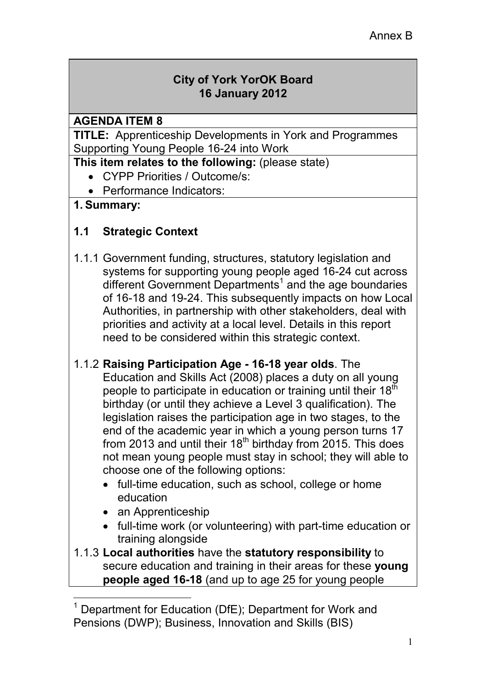## **City of York YorOK Board 16 January 2012**

#### **AGENDA ITEM 8**

**TITLE:** Apprenticeship Developments in York and Programmes Supporting Young People 16-24 into Work

**This item relates to the following: (please state)** 

- CYPP Priorities / Outcome/s:
- Performance Indicators:

## **1. Summary:**

# **1.1 Strategic Context**

1.1.1 Government funding, structures, statutory legislation and systems for supporting young people aged 16-24 cut across different Government Departments<sup>1</sup> and the age boundaries of 16-18 and 19-24. This subsequently impacts on how Local Authorities, in partnership with other stakeholders, deal with priorities and activity at a local level. Details in this report need to be considered within this strategic context.

#### 1.1.2 **Raising Participation Age - 16-18 year olds**. The Education and Skills Act (2008) places a duty on all young people to participate in education or training until their 18<sup>th</sup> birthday (or until they achieve a Level 3 qualification). The legislation raises the participation age in two stages, to the end of the academic year in which a young person turns 17 from 2013 and until their  $18<sup>th</sup>$  birthday from 2015. This does not mean young people must stay in school; they will able to choose one of the following options:

- full-time education, such as school, college or home education
- an Apprenticeship

l.

- full-time work (or volunteering) with part-time education or training alongside
- 1.1.3 **Local authorities** have the **statutory responsibility** to secure education and training in their areas for these **young people aged 16-18** (and up to age 25 for young people

<sup>&</sup>lt;sup>1</sup> Department for Education (DfE); Department for Work and Pensions (DWP); Business, Innovation and Skills (BIS)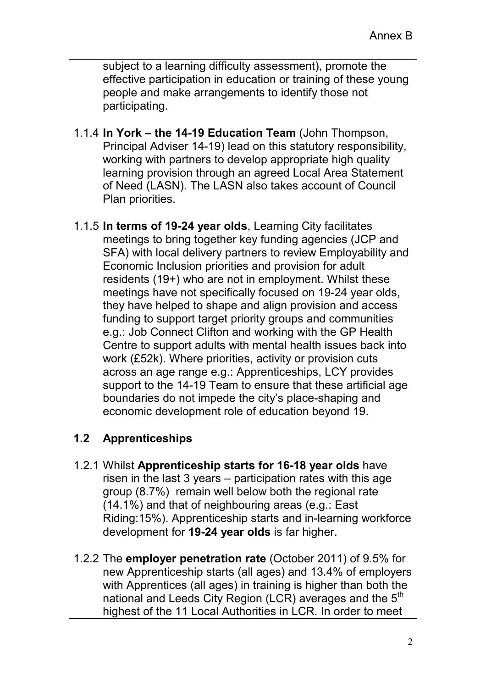subject to a learning difficulty assessment), promote the effective participation in education or training of these young people and make arrangements to identify those not participating.

- 1.1.4 **In York the 14-19 Education Team** (John Thompson, Principal Adviser 14-19) lead on this statutory responsibility, working with partners to develop appropriate high quality learning provision through an agreed Local Area Statement of Need (LASN). The LASN also takes account of Council Plan priorities.
- 1.1.5 **In terms of 19-24 year olds**, Learning City facilitates meetings to bring together key funding agencies (JCP and SFA) with local delivery partners to review Employability and Economic Inclusion priorities and provision for adult residents (19+) who are not in employment. Whilst these meetings have not specifically focused on 19-24 year olds, they have helped to shape and align provision and access funding to support target priority groups and communities e.g.: Job Connect Clifton and working with the GP Health Centre to support adults with mental health issues back into work (£52k). Where priorities, activity or provision cuts across an age range e.g.: Apprenticeships, LCY provides support to the 14-19 Team to ensure that these artificial age boundaries do not impede the city's place-shaping and economic development role of education beyond 19.

# **1.2 Apprenticeships**

- 1.2.1 Whilst **Apprenticeship starts for 16-18 year olds** have risen in the last 3 years – participation rates with this age group (8.7%) remain well below both the regional rate (14.1%) and that of neighbouring areas (e.g.: East Riding:15%). Apprenticeship starts and in-learning workforce development for **19-24 year olds** is far higher.
- 1.2.2 The **employer penetration rate** (October 2011) of 9.5% for new Apprenticeship starts (all ages) and 13.4% of employers with Apprentices (all ages) in training is higher than both the national and Leeds City Region (LCR) averages and the 5<sup>th</sup> highest of the 11 Local Authorities in LCR. In order to meet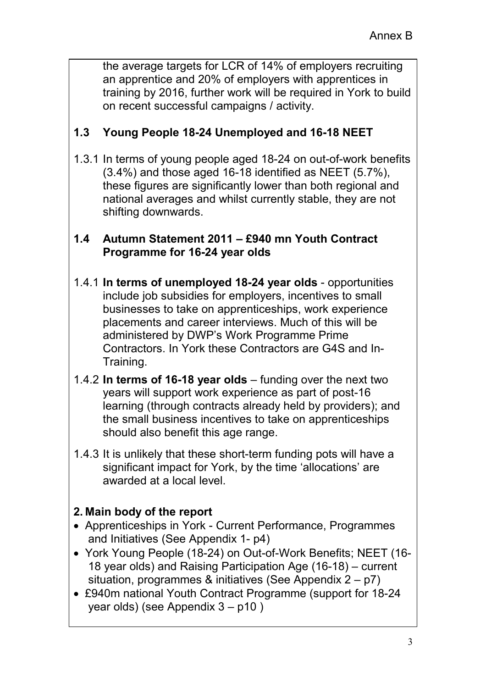the average targets for LCR of 14% of employers recruiting an apprentice and 20% of employers with apprentices in training by 2016, further work will be required in York to build on recent successful campaigns / activity.

# **1.3 Young People 18-24 Unemployed and 16-18 NEET**

1.3.1 In terms of young people aged 18-24 on out-of-work benefits (3.4%) and those aged 16-18 identified as NEET (5.7%), these figures are significantly lower than both regional and national averages and whilst currently stable, they are not shifting downwards.

### **1.4 Autumn Statement 2011 – £940 mn Youth Contract Programme for 16-24 year olds**

- 1.4.1 **In terms of unemployed 18-24 year olds** opportunities include job subsidies for employers, incentives to small businesses to take on apprenticeships, work experience placements and career interviews. Much of this will be administered by DWP's Work Programme Prime Contractors. In York these Contractors are G4S and In-Training.
- 1.4.2 **In terms of 16-18 year olds** funding over the next two years will support work experience as part of post-16 learning (through contracts already held by providers); and the small business incentives to take on apprenticeships should also benefit this age range.
- 1.4.3 It is unlikely that these short-term funding pots will have a significant impact for York, by the time 'allocations' are awarded at a local level.

# **2. Main body of the report**

- Apprenticeships in York Current Performance, Programmes and Initiatives (See Appendix 1- p4)
- York Young People (18-24) on Out-of-Work Benefits; NEET (16- 18 year olds) and Raising Participation Age (16-18) – current situation, programmes & initiatives (See Appendix 2 – p7)
- £940m national Youth Contract Programme (support for 18-24 year olds) (see Appendix 3 – p10 )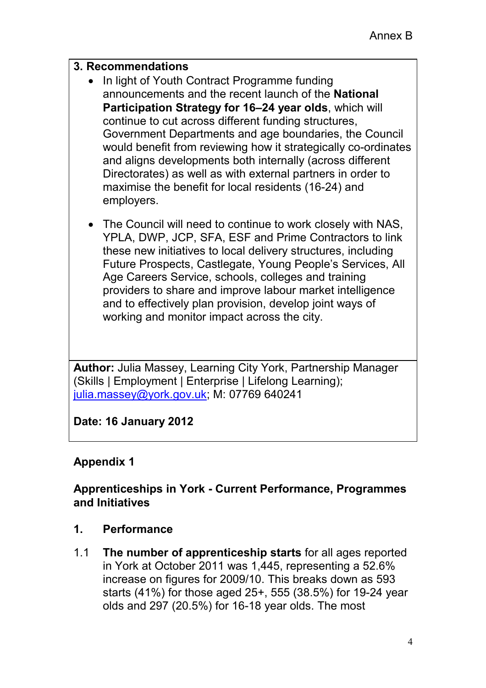### **3. Recommendations**

- In light of Youth Contract Programme funding announcements and the recent launch of the **National Participation Strategy for 16–24 year olds**, which will continue to cut across different funding structures, Government Departments and age boundaries, the Council would benefit from reviewing how it strategically co-ordinates and aligns developments both internally (across different Directorates) as well as with external partners in order to maximise the benefit for local residents (16-24) and employers.
- The Council will need to continue to work closely with NAS, YPLA, DWP, JCP, SFA, ESF and Prime Contractors to link these new initiatives to local delivery structures, including Future Prospects, Castlegate, Young People's Services, All Age Careers Service, schools, colleges and training providers to share and improve labour market intelligence and to effectively plan provision, develop joint ways of working and monitor impact across the city.

**Author:** Julia Massey, Learning City York, Partnership Manager (Skills | Employment | Enterprise | Lifelong Learning); julia.massey@york.gov.uk; M: 07769 640241

**Date: 16 January 2012** 

# **Appendix 1**

### **Apprenticeships in York - Current Performance, Programmes and Initiatives**

- **1. Performance**
- 1.1 **The number of apprenticeship starts** for all ages reported in York at October 2011 was 1,445, representing a 52.6% increase on figures for 2009/10. This breaks down as 593 starts (41%) for those aged 25+, 555 (38.5%) for 19-24 year olds and 297 (20.5%) for 16-18 year olds. The most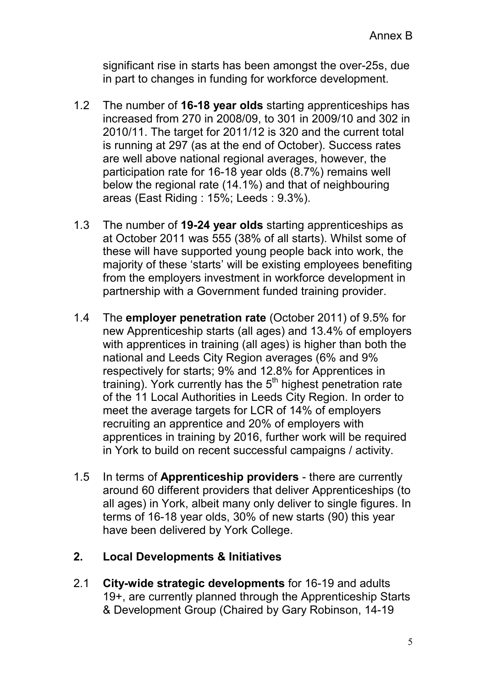significant rise in starts has been amongst the over-25s, due in part to changes in funding for workforce development.

- 1.2 The number of **16-18 year olds** starting apprenticeships has increased from 270 in 2008/09, to 301 in 2009/10 and 302 in 2010/11. The target for 2011/12 is 320 and the current total is running at 297 (as at the end of October). Success rates are well above national regional averages, however, the participation rate for 16-18 year olds (8.7%) remains well below the regional rate (14.1%) and that of neighbouring areas (East Riding : 15%; Leeds : 9.3%).
- 1.3 The number of **19-24 year olds** starting apprenticeships as at October 2011 was 555 (38% of all starts). Whilst some of these will have supported young people back into work, the majority of these 'starts' will be existing employees benefiting from the employers investment in workforce development in partnership with a Government funded training provider.
- 1.4 The **employer penetration rate** (October 2011) of 9.5% for new Apprenticeship starts (all ages) and 13.4% of employers with apprentices in training (all ages) is higher than both the national and Leeds City Region averages (6% and 9% respectively for starts; 9% and 12.8% for Apprentices in training). York currently has the  $5<sup>th</sup>$  highest penetration rate of the 11 Local Authorities in Leeds City Region. In order to meet the average targets for LCR of 14% of employers recruiting an apprentice and 20% of employers with apprentices in training by 2016, further work will be required in York to build on recent successful campaigns / activity.
- 1.5 In terms of **Apprenticeship providers**  there are currently around 60 different providers that deliver Apprenticeships (to all ages) in York, albeit many only deliver to single figures. In terms of 16-18 year olds, 30% of new starts (90) this year have been delivered by York College.

## **2. Local Developments & Initiatives**

2.1 **City-wide strategic developments** for 16-19 and adults 19+, are currently planned through the Apprenticeship Starts & Development Group (Chaired by Gary Robinson, 14-19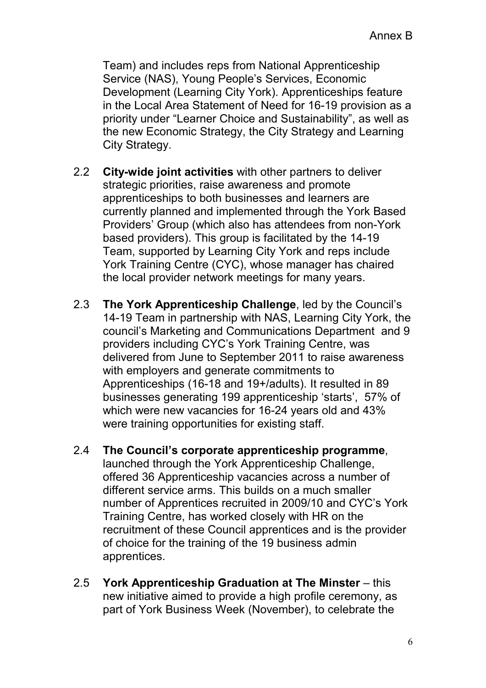Team) and includes reps from National Apprenticeship Service (NAS), Young People's Services, Economic Development (Learning City York). Apprenticeships feature in the Local Area Statement of Need for 16-19 provision as a priority under "Learner Choice and Sustainability", as well as the new Economic Strategy, the City Strategy and Learning City Strategy.

- 2.2 **City-wide joint activities** with other partners to deliver strategic priorities, raise awareness and promote apprenticeships to both businesses and learners are currently planned and implemented through the York Based Providers' Group (which also has attendees from non-York based providers). This group is facilitated by the 14-19 Team, supported by Learning City York and reps include York Training Centre (CYC), whose manager has chaired the local provider network meetings for many years.
- 2.3 **The York Apprenticeship Challenge**, led by the Council's 14-19 Team in partnership with NAS, Learning City York, the council's Marketing and Communications Department and 9 providers including CYC's York Training Centre, was delivered from June to September 2011 to raise awareness with employers and generate commitments to Apprenticeships (16-18 and 19+/adults). It resulted in 89 businesses generating 199 apprenticeship 'starts', 57% of which were new vacancies for 16-24 years old and 43% were training opportunities for existing staff.
- 2.4 **The Council's corporate apprenticeship programme**, launched through the York Apprenticeship Challenge, offered 36 Apprenticeship vacancies across a number of different service arms. This builds on a much smaller number of Apprentices recruited in 2009/10 and CYC's York Training Centre, has worked closely with HR on the recruitment of these Council apprentices and is the provider of choice for the training of the 19 business admin apprentices.
- 2.5 **York Apprenticeship Graduation at The Minster** this new initiative aimed to provide a high profile ceremony, as part of York Business Week (November), to celebrate the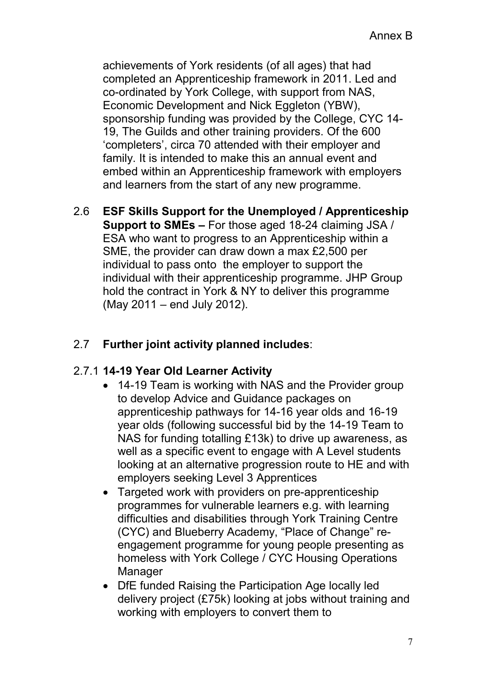achievements of York residents (of all ages) that had completed an Apprenticeship framework in 2011. Led and co-ordinated by York College, with support from NAS, Economic Development and Nick Eggleton (YBW), sponsorship funding was provided by the College, CYC 14- 19, The Guilds and other training providers. Of the 600 'completers', circa 70 attended with their employer and family. It is intended to make this an annual event and embed within an Apprenticeship framework with employers and learners from the start of any new programme.

2.6 **ESF Skills Support for the Unemployed / Apprenticeship Support to SMEs –** For those aged 18-24 claiming JSA / ESA who want to progress to an Apprenticeship within a SME, the provider can draw down a max £2,500 per individual to pass onto the employer to support the individual with their apprenticeship programme. JHP Group hold the contract in York & NY to deliver this programme (May 2011 – end July 2012).

# 2.7 **Further joint activity planned includes**:

#### 2.7.1 **14-19 Year Old Learner Activity**

- 14-19 Team is working with NAS and the Provider group to develop Advice and Guidance packages on apprenticeship pathways for 14-16 year olds and 16-19 year olds (following successful bid by the 14-19 Team to NAS for funding totalling £13k) to drive up awareness, as well as a specific event to engage with A Level students looking at an alternative progression route to HE and with employers seeking Level 3 Apprentices
- Targeted work with providers on pre-apprenticeship programmes for vulnerable learners e.g. with learning difficulties and disabilities through York Training Centre (CYC) and Blueberry Academy, "Place of Change" reengagement programme for young people presenting as homeless with York College / CYC Housing Operations **Manager**
- DfE funded Raising the Participation Age locally led delivery project (£75k) looking at jobs without training and working with employers to convert them to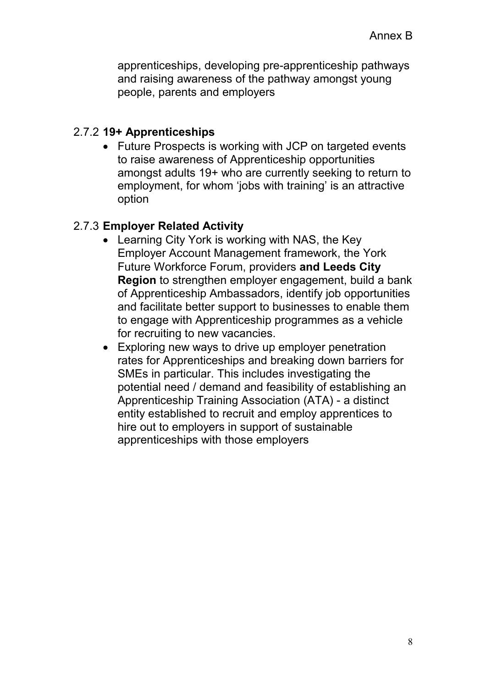apprenticeships, developing pre-apprenticeship pathways and raising awareness of the pathway amongst young people, parents and employers

## 2.7.2 **19+ Apprenticeships**

• Future Prospects is working with JCP on targeted events to raise awareness of Apprenticeship opportunities amongst adults 19+ who are currently seeking to return to employment, for whom 'jobs with training' is an attractive option

## 2.7.3 **Employer Related Activity**

- Learning City York is working with NAS, the Key Employer Account Management framework, the York Future Workforce Forum, providers **and Leeds City Region** to strengthen employer engagement, build a bank of Apprenticeship Ambassadors, identify job opportunities and facilitate better support to businesses to enable them to engage with Apprenticeship programmes as a vehicle for recruiting to new vacancies.
- Exploring new ways to drive up employer penetration rates for Apprenticeships and breaking down barriers for SMEs in particular. This includes investigating the potential need / demand and feasibility of establishing an Apprenticeship Training Association (ATA) - a distinct entity established to recruit and employ apprentices to hire out to employers in support of sustainable apprenticeships with those employers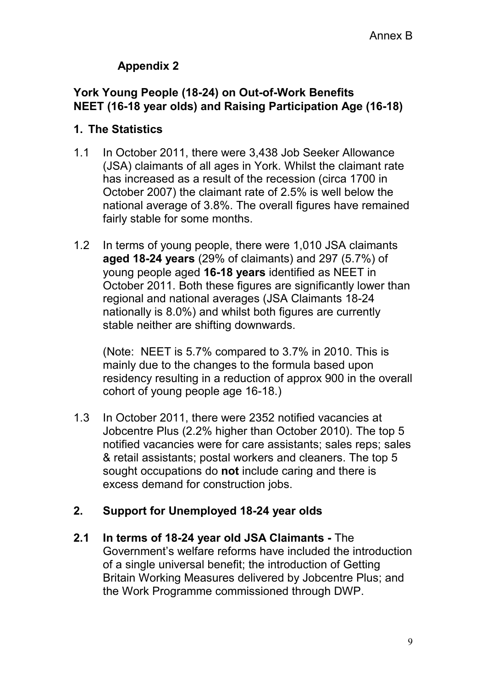# **Appendix 2**

### **York Young People (18-24) on Out-of-Work Benefits NEET (16-18 year olds) and Raising Participation Age (16-18)**

#### **1. The Statistics**

- 1.1 In October 2011, there were 3,438 Job Seeker Allowance (JSA) claimants of all ages in York. Whilst the claimant rate has increased as a result of the recession (circa 1700 in October 2007) the claimant rate of 2.5% is well below the national average of 3.8%. The overall figures have remained fairly stable for some months.
- 1.2 In terms of young people, there were 1,010 JSA claimants **aged 18-24 years** (29% of claimants) and 297 (5.7%) of young people aged **16-18 years** identified as NEET in October 2011. Both these figures are significantly lower than regional and national averages (JSA Claimants 18-24 nationally is 8.0%) and whilst both figures are currently stable neither are shifting downwards.

(Note: NEET is 5.7% compared to 3.7% in 2010. This is mainly due to the changes to the formula based upon residency resulting in a reduction of approx 900 in the overall cohort of young people age 16-18.)

1.3 In October 2011, there were 2352 notified vacancies at Jobcentre Plus (2.2% higher than October 2010). The top 5 notified vacancies were for care assistants; sales reps; sales & retail assistants; postal workers and cleaners. The top 5 sought occupations do **not** include caring and there is excess demand for construction jobs.

## **2. Support for Unemployed 18-24 year olds**

**2.1 In terms of 18-24 year old JSA Claimants -** The Government's welfare reforms have included the introduction of a single universal benefit; the introduction of Getting Britain Working Measures delivered by Jobcentre Plus; and the Work Programme commissioned through DWP.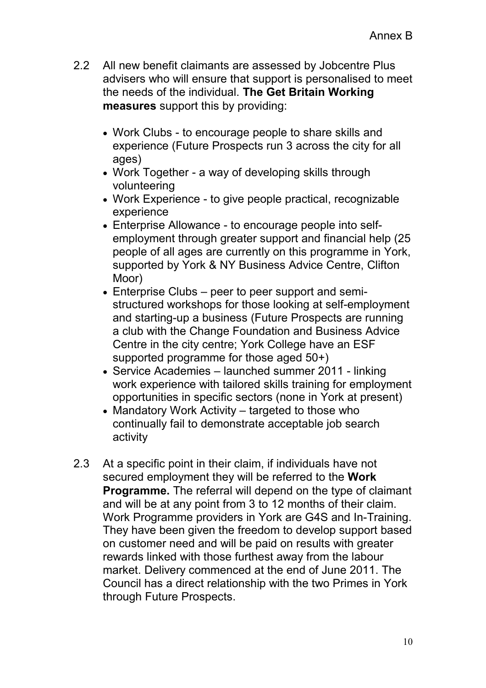- 2.2 All new benefit claimants are assessed by Jobcentre Plus advisers who will ensure that support is personalised to meet the needs of the individual. **The Get Britain Working measures** support this by providing:
	- Work Clubs to encourage people to share skills and experience (Future Prospects run 3 across the city for all ages)
	- Work Together a way of developing skills through volunteering
	- Work Experience to give people practical, recognizable experience
	- Enterprise Allowance to encourage people into selfemployment through greater support and financial help (25 people of all ages are currently on this programme in York, supported by York & NY Business Advice Centre, Clifton Moor)
	- Enterprise Clubs peer to peer support and semistructured workshops for those looking at self-employment and starting-up a business (Future Prospects are running a club with the Change Foundation and Business Advice Centre in the city centre; York College have an ESF supported programme for those aged 50+)
	- Service Academies launched summer 2011 linking work experience with tailored skills training for employment opportunities in specific sectors (none in York at present)
	- Mandatory Work Activity targeted to those who continually fail to demonstrate acceptable job search activity
- 2.3 At a specific point in their claim, if individuals have not secured employment they will be referred to the **Work Programme.** The referral will depend on the type of claimant and will be at any point from 3 to 12 months of their claim. Work Programme providers in York are G4S and In-Training. They have been given the freedom to develop support based on customer need and will be paid on results with greater rewards linked with those furthest away from the labour market. Delivery commenced at the end of June 2011. The Council has a direct relationship with the two Primes in York through Future Prospects.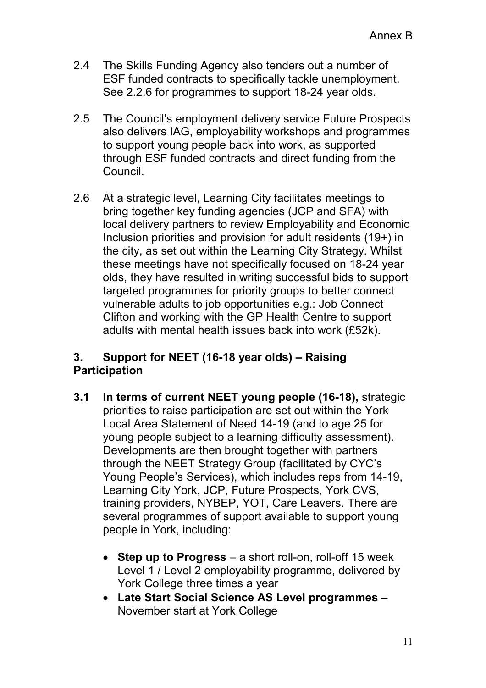- 2.4 The Skills Funding Agency also tenders out a number of ESF funded contracts to specifically tackle unemployment. See 2.2.6 for programmes to support 18-24 year olds.
- 2.5 The Council's employment delivery service Future Prospects also delivers IAG, employability workshops and programmes to support young people back into work, as supported through ESF funded contracts and direct funding from the Council.
- 2.6 At a strategic level, Learning City facilitates meetings to bring together key funding agencies (JCP and SFA) with local delivery partners to review Employability and Economic Inclusion priorities and provision for adult residents (19+) in the city, as set out within the Learning City Strategy. Whilst these meetings have not specifically focused on 18-24 year olds, they have resulted in writing successful bids to support targeted programmes for priority groups to better connect vulnerable adults to job opportunities e.g.: Job Connect Clifton and working with the GP Health Centre to support adults with mental health issues back into work (£52k).

## **3. Support for NEET (16-18 year olds) – Raising Participation**

- **3.1 In terms of current NEET young people (16-18),** strategic priorities to raise participation are set out within the York Local Area Statement of Need 14-19 (and to age 25 for young people subject to a learning difficulty assessment). Developments are then brought together with partners through the NEET Strategy Group (facilitated by CYC's Young People's Services), which includes reps from 14-19, Learning City York, JCP, Future Prospects, York CVS, training providers, NYBEP, YOT, Care Leavers. There are several programmes of support available to support young people in York, including:
	- **Step up to Progress** a short roll-on, roll-off 15 week Level 1 / Level 2 employability programme, delivered by York College three times a year
	- **Late Start Social Science AS Level programmes** November start at York College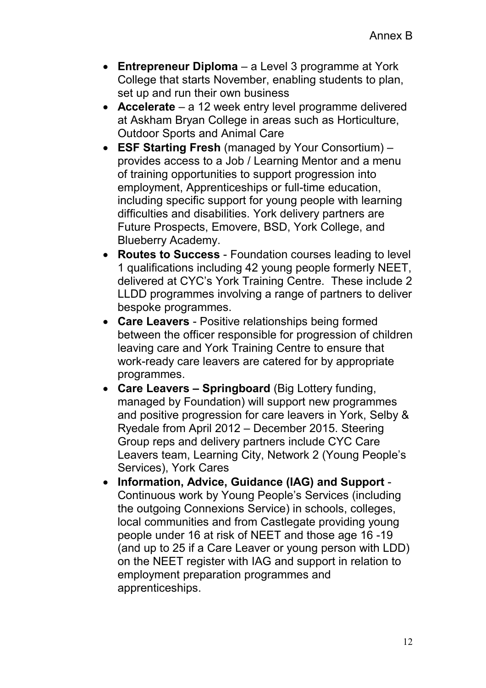- **Entrepreneur Diploma** a Level 3 programme at York College that starts November, enabling students to plan, set up and run their own business
- **Accelerate** a 12 week entry level programme delivered at Askham Bryan College in areas such as Horticulture, Outdoor Sports and Animal Care
- **ESF Starting Fresh** (managed by Your Consortium) provides access to a Job / Learning Mentor and a menu of training opportunities to support progression into employment, Apprenticeships or full-time education, including specific support for young people with learning difficulties and disabilities. York delivery partners are Future Prospects, Emovere, BSD, York College, and Blueberry Academy.
- **Routes to Success** Foundation courses leading to level 1 qualifications including 42 young people formerly NEET, delivered at CYC's York Training Centre. These include 2 LLDD programmes involving a range of partners to deliver bespoke programmes.
- **Care Leavers** Positive relationships being formed between the officer responsible for progression of children leaving care and York Training Centre to ensure that work-ready care leavers are catered for by appropriate programmes.
- **Care Leavers Springboard** (Big Lottery funding, managed by Foundation) will support new programmes and positive progression for care leavers in York, Selby & Ryedale from April 2012 – December 2015. Steering Group reps and delivery partners include CYC Care Leavers team, Learning City, Network 2 (Young People's Services), York Cares
- **Information, Advice, Guidance (IAG) and Support** Continuous work by Young People's Services (including the outgoing Connexions Service) in schools, colleges, local communities and from Castlegate providing young people under 16 at risk of NEET and those age 16 -19 (and up to 25 if a Care Leaver or young person with LDD) on the NEET register with IAG and support in relation to employment preparation programmes and apprenticeships.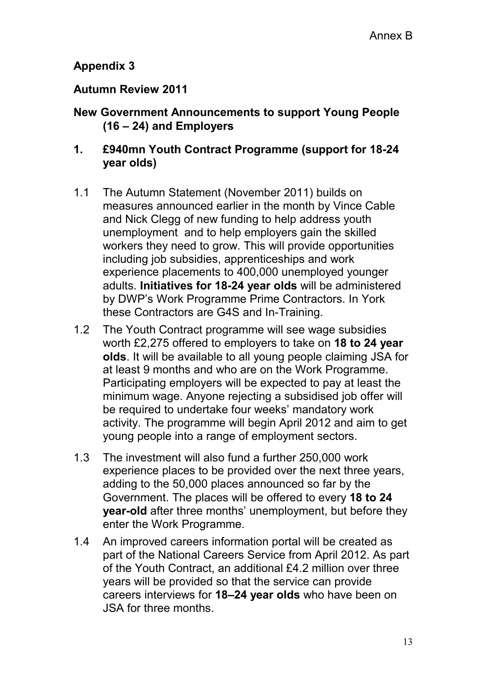# **Appendix 3**

#### **Autumn Review 2011**

#### **New Government Announcements to support Young People (16 – 24) and Employers**

### **1. £940mn Youth Contract Programme (support for 18-24 year olds)**

- 1.1 The Autumn Statement (November 2011) builds on measures announced earlier in the month by Vince Cable and Nick Clegg of new funding to help address youth unemployment and to help employers gain the skilled workers they need to grow. This will provide opportunities including job subsidies, apprenticeships and work experience placements to 400,000 unemployed younger adults. **Initiatives for 18-24 year olds** will be administered by DWP's Work Programme Prime Contractors. In York these Contractors are G4S and In-Training.
- 1.2 The Youth Contract programme will see wage subsidies worth £2,275 offered to employers to take on **18 to 24 year olds**. It will be available to all young people claiming JSA for at least 9 months and who are on the Work Programme. Participating employers will be expected to pay at least the minimum wage. Anyone rejecting a subsidised job offer will be required to undertake four weeks' mandatory work activity. The programme will begin April 2012 and aim to get young people into a range of employment sectors.
- 1.3 The investment will also fund a further 250,000 work experience places to be provided over the next three years, adding to the 50,000 places announced so far by the Government. The places will be offered to every **18 to 24 year-old** after three months' unemployment, but before they enter the Work Programme.
- 1.4 An improved careers information portal will be created as part of the National Careers Service from April 2012. As part of the Youth Contract, an additional £4.2 million over three years will be provided so that the service can provide careers interviews for **18–24 year olds** who have been on JSA for three months.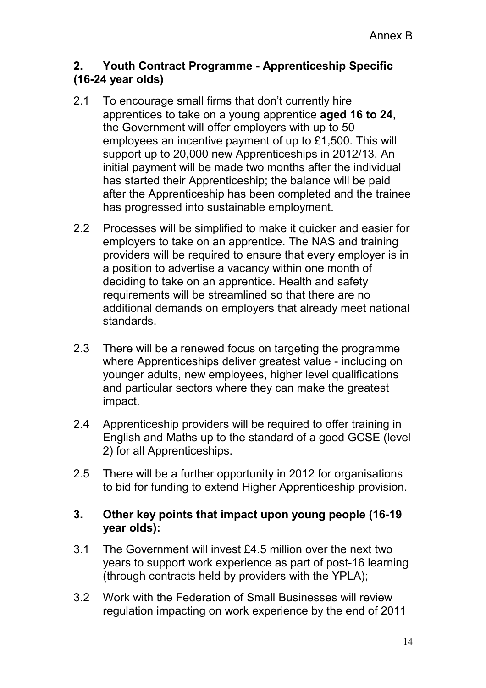### **2. Youth Contract Programme - Apprenticeship Specific (16-24 year olds)**

- 2.1 To encourage small firms that don't currently hire apprentices to take on a young apprentice **aged 16 to 24**, the Government will offer employers with up to 50 employees an incentive payment of up to £1,500. This will support up to 20,000 new Apprenticeships in 2012/13. An initial payment will be made two months after the individual has started their Apprenticeship; the balance will be paid after the Apprenticeship has been completed and the trainee has progressed into sustainable employment.
- 2.2 Processes will be simplified to make it quicker and easier for employers to take on an apprentice. The NAS and training providers will be required to ensure that every employer is in a position to advertise a vacancy within one month of deciding to take on an apprentice. Health and safety requirements will be streamlined so that there are no additional demands on employers that already meet national standards.
- 2.3 There will be a renewed focus on targeting the programme where Apprenticeships deliver greatest value - including on younger adults, new employees, higher level qualifications and particular sectors where they can make the greatest impact.
- 2.4 Apprenticeship providers will be required to offer training in English and Maths up to the standard of a good GCSE (level 2) for all Apprenticeships.
- 2.5 There will be a further opportunity in 2012 for organisations to bid for funding to extend Higher Apprenticeship provision.

### **3. Other key points that impact upon young people (16-19 year olds):**

- 3.1 The Government will invest £4.5 million over the next two years to support work experience as part of post-16 learning (through contracts held by providers with the YPLA);
- 3.2 Work with the Federation of Small Businesses will review regulation impacting on work experience by the end of 2011